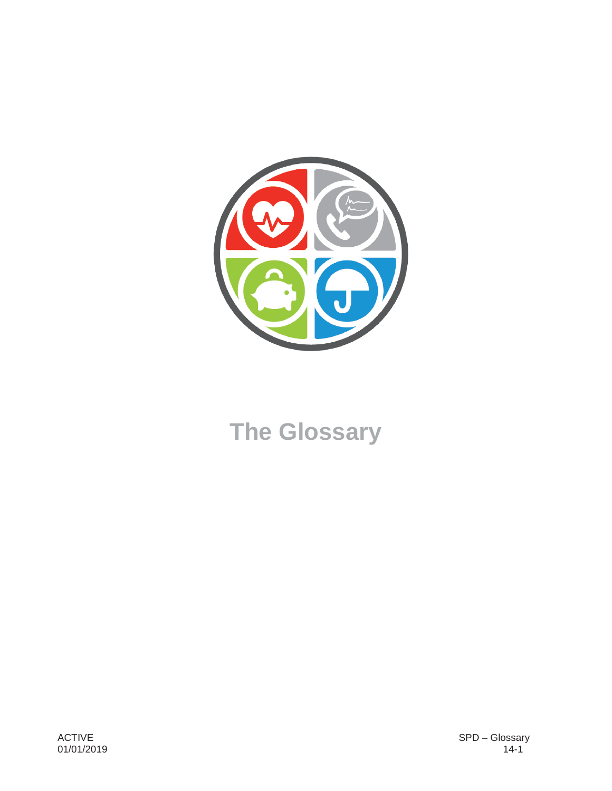

# **The Glossary**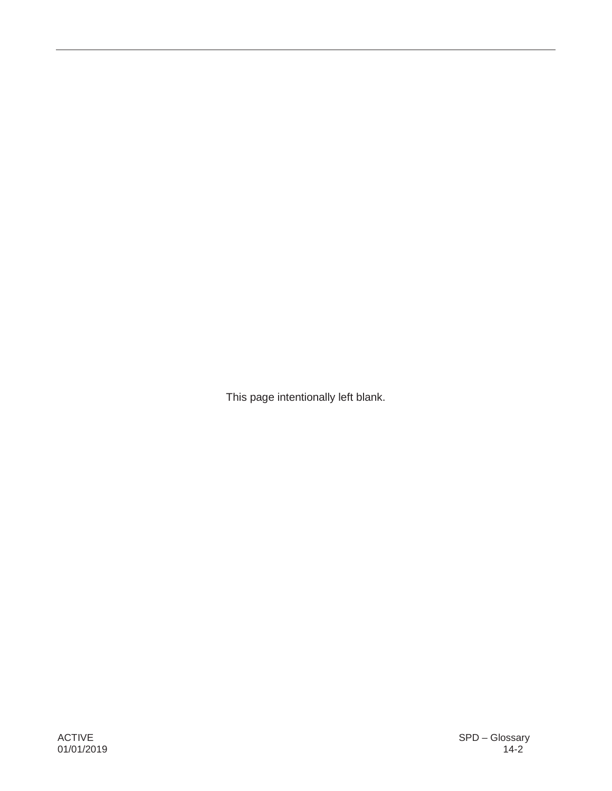This page intentionally left blank.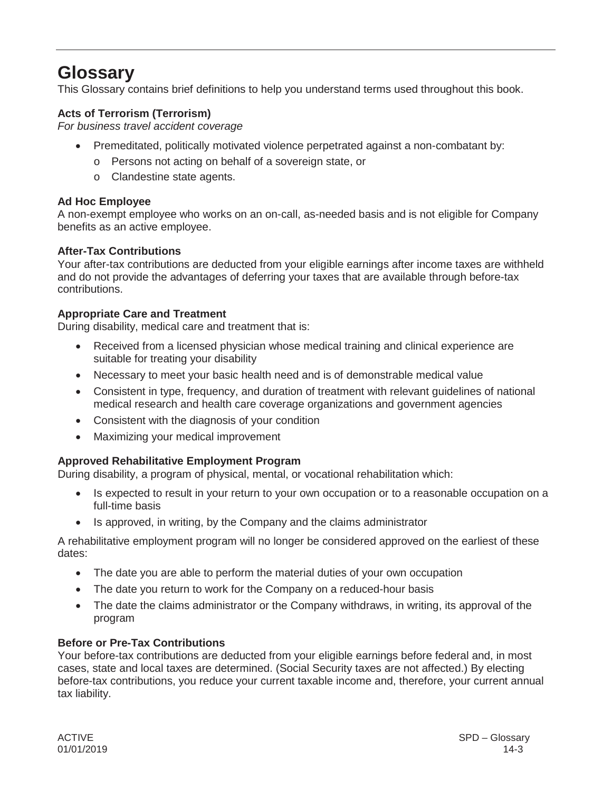## **Glossary**

This Glossary contains brief definitions to help you understand terms used throughout this book.

## **Acts of Terrorism (Terrorism)**

*For business travel accident coverage*

- Premeditated, politically motivated violence perpetrated against a non-combatant by:
	- o Persons not acting on behalf of a sovereign state, or
	- o Clandestine state agents.

## **Ad Hoc Employee**

A non-exempt employee who works on an on-call, as-needed basis and is not eligible for Company benefits as an active employee.

## **After-Tax Contributions**

Your after-tax contributions are deducted from your eligible earnings after income taxes are withheld and do not provide the advantages of deferring your taxes that are available through before-tax contributions.

## **Appropriate Care and Treatment**

During disability, medical care and treatment that is:

- Received from a licensed physician whose medical training and clinical experience are suitable for treating your disability
- Necessary to meet your basic health need and is of demonstrable medical value
- Consistent in type, frequency, and duration of treatment with relevant quidelines of national medical research and health care coverage organizations and government agencies
- Consistent with the diagnosis of your condition
- Maximizing your medical improvement

## **Approved Rehabilitative Employment Program**

During disability, a program of physical, mental, or vocational rehabilitation which:

- Is expected to result in your return to your own occupation or to a reasonable occupation on a full-time basis
- Is approved, in writing, by the Company and the claims administrator

A rehabilitative employment program will no longer be considered approved on the earliest of these dates:

- The date you are able to perform the material duties of your own occupation
- The date you return to work for the Company on a reduced-hour basis
- The date the claims administrator or the Company withdraws, in writing, its approval of the program

## **Before or Pre-Tax Contributions**

Your before-tax contributions are deducted from your eligible earnings before federal and, in most cases, state and local taxes are determined. (Social Security taxes are not affected.) By electing before-tax contributions, you reduce your current taxable income and, therefore, your current annual tax liability.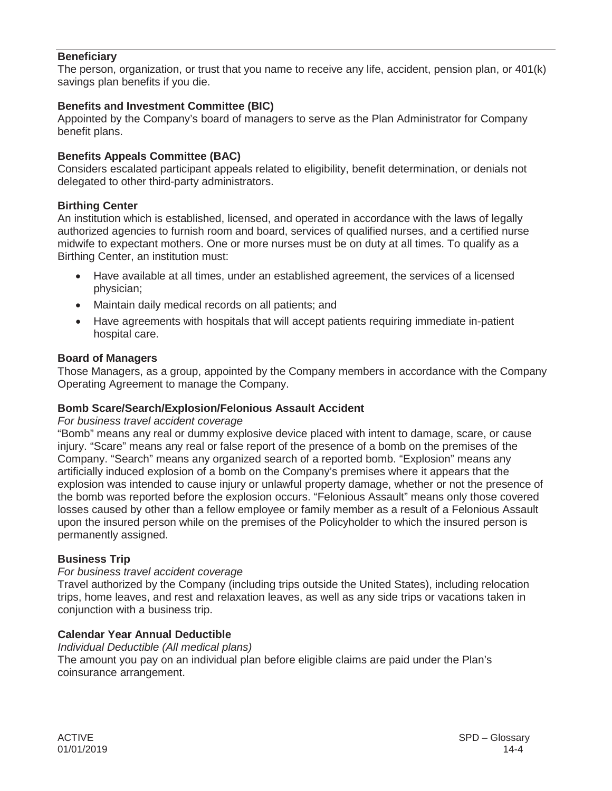## **Beneficiary**

The person, organization, or trust that you name to receive any life, accident, pension plan, or 401(k) savings plan benefits if you die.

## **Benefits and Investment Committee (BIC)**

Appointed by the Company's board of managers to serve as the Plan Administrator for Company benefit plans.

## **Benefits Appeals Committee (BAC)**

Considers escalated participant appeals related to eligibility, benefit determination, or denials not delegated to other third-party administrators.

## **Birthing Center**

An institution which is established, licensed, and operated in accordance with the laws of legally authorized agencies to furnish room and board, services of qualified nurses, and a certified nurse midwife to expectant mothers. One or more nurses must be on duty at all times. To qualify as a Birthing Center, an institution must:

- Have available at all times, under an established agreement, the services of a licensed physician;
- Maintain daily medical records on all patients; and
- Have agreements with hospitals that will accept patients requiring immediate in-patient hospital care.

## **Board of Managers**

Those Managers, as a group, appointed by the Company members in accordance with the Company Operating Agreement to manage the Company.

## **Bomb Scare/Search/Explosion/Felonious Assault Accident**

*For business travel accident coverage*

"Bomb" means any real or dummy explosive device placed with intent to damage, scare, or cause injury. "Scare" means any real or false report of the presence of a bomb on the premises of the Company. "Search" means any organized search of a reported bomb. "Explosion" means any artificially induced explosion of a bomb on the Company's premises where it appears that the explosion was intended to cause injury or unlawful property damage, whether or not the presence of the bomb was reported before the explosion occurs. "Felonious Assault" means only those covered losses caused by other than a fellow employee or family member as a result of a Felonious Assault upon the insured person while on the premises of the Policyholder to which the insured person is permanently assigned.

## **Business Trip**

## *For business travel accident coverage*

Travel authorized by the Company (including trips outside the United States), including relocation trips, home leaves, and rest and relaxation leaves, as well as any side trips or vacations taken in conjunction with a business trip.

## **Calendar Year Annual Deductible**

*Individual Deductible (All medical plans)* The amount you pay on an individual plan before eligible claims are paid under the Plan's coinsurance arrangement.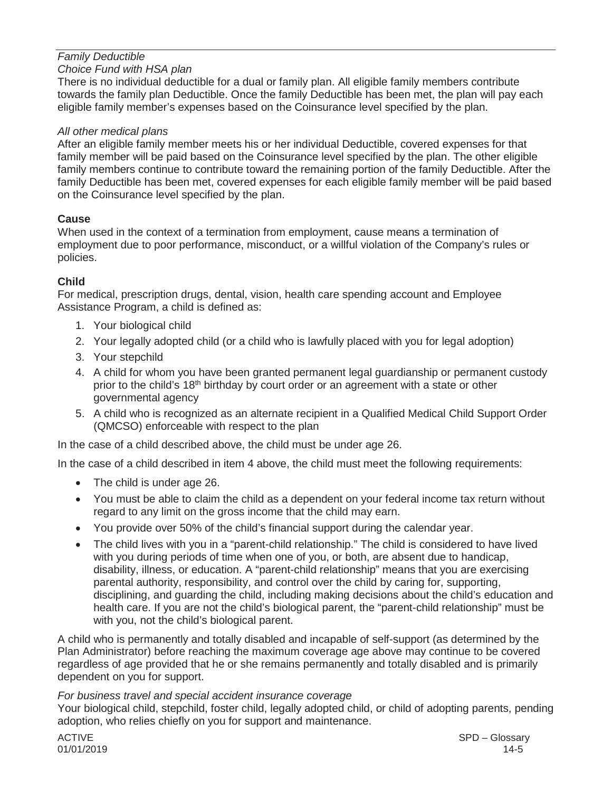## *Family Deductible*

## *Choice Fund with HSA plan*

There is no individual deductible for a dual or family plan. All eligible family members contribute towards the family plan Deductible. Once the family Deductible has been met, the plan will pay each eligible family member's expenses based on the Coinsurance level specified by the plan.

## *All other medical plans*

After an eligible family member meets his or her individual Deductible, covered expenses for that family member will be paid based on the Coinsurance level specified by the plan. The other eligible family members continue to contribute toward the remaining portion of the family Deductible. After the family Deductible has been met, covered expenses for each eligible family member will be paid based on the Coinsurance level specified by the plan.

## **Cause**

When used in the context of a termination from employment, cause means a termination of employment due to poor performance, misconduct, or a willful violation of the Company's rules or policies.

## **Child**

For medical, prescription drugs, dental, vision, health care spending account and Employee Assistance Program, a child is defined as:

- 1. Your biological child
- 2. Your legally adopted child (or a child who is lawfully placed with you for legal adoption)
- 3. Your stepchild
- 4. A child for whom you have been granted permanent legal guardianship or permanent custody prior to the child's 18<sup>th</sup> birthday by court order or an agreement with a state or other governmental agency
- 5. A child who is recognized as an alternate recipient in a Qualified Medical Child Support Order (QMCSO) enforceable with respect to the plan

In the case of a child described above, the child must be under age 26.

In the case of a child described in item 4 above, the child must meet the following requirements:

- $\bullet$  The child is under age 26.
- You must be able to claim the child as a dependent on your federal income tax return without regard to any limit on the gross income that the child may earn.
- You provide over 50% of the child's financial support during the calendar year.
- The child lives with you in a "parent-child relationship." The child is considered to have lived with you during periods of time when one of you, or both, are absent due to handicap, disability, illness, or education. A "parent-child relationship" means that you are exercising parental authority, responsibility, and control over the child by caring for, supporting, disciplining, and guarding the child, including making decisions about the child's education and health care. If you are not the child's biological parent, the "parent-child relationship" must be with you, not the child's biological parent.

A child who is permanently and totally disabled and incapable of self-support (as determined by the Plan Administrator) before reaching the maximum coverage age above may continue to be covered regardless of age provided that he or she remains permanently and totally disabled and is primarily dependent on you for support.

## *For business travel and special accident insurance coverage*

Your biological child, stepchild, foster child, legally adopted child, or child of adopting parents, pending adoption, who relies chiefly on you for support and maintenance.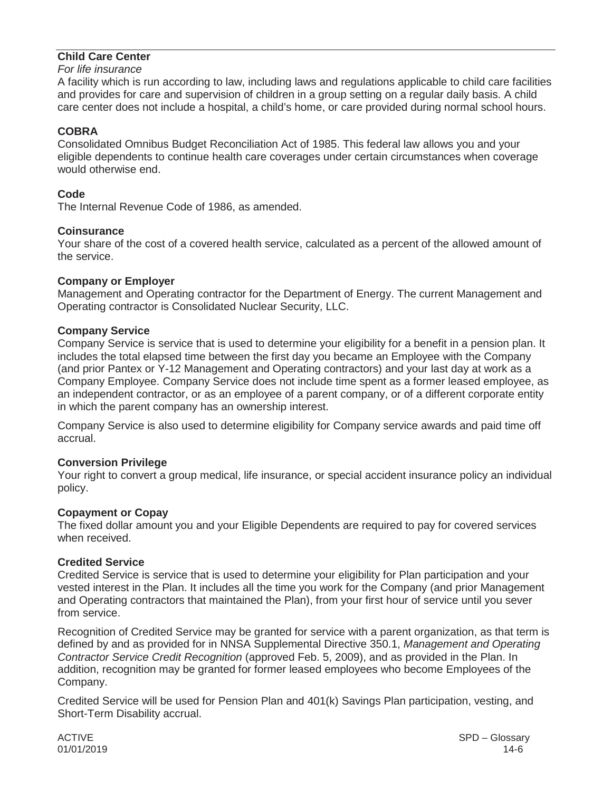## **Child Care Center**

#### *For life insurance*

A facility which is run according to law, including laws and regulations applicable to child care facilities and provides for care and supervision of children in a group setting on a regular daily basis. A child care center does not include a hospital, a child's home, or care provided during normal school hours.

## **COBRA**

Consolidated Omnibus Budget Reconciliation Act of 1985. This federal law allows you and your eligible dependents to continue health care coverages under certain circumstances when coverage would otherwise end.

#### **Code**

The Internal Revenue Code of 1986, as amended.

#### **Coinsurance**

Your share of the cost of a covered health service, calculated as a percent of the allowed amount of the service.

#### **Company or Employer**

Management and Operating contractor for the Department of Energy. The current Management and Operating contractor is Consolidated Nuclear Security, LLC.

#### **Company Service**

Company Service is service that is used to determine your eligibility for a benefit in a pension plan. It includes the total elapsed time between the first day you became an Employee with the Company (and prior Pantex or Y-12 Management and Operating contractors) and your last day at work as a Company Employee. Company Service does not include time spent as a former leased employee, as an independent contractor, or as an employee of a parent company, or of a different corporate entity in which the parent company has an ownership interest.

Company Service is also used to determine eligibility for Company service awards and paid time off accrual.

## **Conversion Privilege**

Your right to convert a group medical, life insurance, or special accident insurance policy an individual policy.

## **Copayment or Copay**

The fixed dollar amount you and your Eligible Dependents are required to pay for covered services when received.

## **Credited Service**

Credited Service is service that is used to determine your eligibility for Plan participation and your vested interest in the Plan. It includes all the time you work for the Company (and prior Management and Operating contractors that maintained the Plan), from your first hour of service until you sever from service.

Recognition of Credited Service may be granted for service with a parent organization, as that term is defined by and as provided for in NNSA Supplemental Directive 350.1, *Management and Operating Contractor Service Credit Recognition* (approved Feb. 5, 2009), and as provided in the Plan. In addition, recognition may be granted for former leased employees who become Employees of the Company.

Credited Service will be used for Pension Plan and 401(k) Savings Plan participation, vesting, and Short-Term Disability accrual.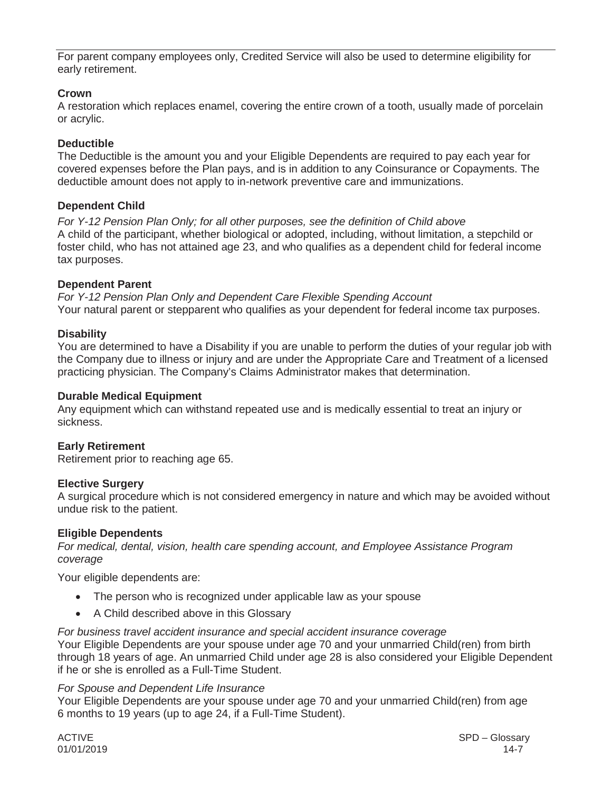For parent company employees only, Credited Service will also be used to determine eligibility for early retirement.

## **Crown**

A restoration which replaces enamel, covering the entire crown of a tooth, usually made of porcelain or acrylic.

## **Deductible**

The Deductible is the amount you and your Eligible Dependents are required to pay each year for covered expenses before the Plan pays, and is in addition to any Coinsurance or Copayments. The deductible amount does not apply to in-network preventive care and immunizations.

## **Dependent Child**

*For Y-12 Pension Plan Only; for all other purposes, see the definition of Child above* A child of the participant, whether biological or adopted, including, without limitation, a stepchild or foster child, who has not attained age 23, and who qualifies as a dependent child for federal income tax purposes.

## **Dependent Parent**

*For Y-12 Pension Plan Only and Dependent Care Flexible Spending Account* Your natural parent or stepparent who qualifies as your dependent for federal income tax purposes.

## **Disability**

You are determined to have a Disability if you are unable to perform the duties of your regular job with the Company due to illness or injury and are under the Appropriate Care and Treatment of a licensed practicing physician. The Company's Claims Administrator makes that determination.

## **Durable Medical Equipment**

Any equipment which can withstand repeated use and is medically essential to treat an injury or sickness.

## **Early Retirement**

Retirement prior to reaching age 65.

## **Elective Surgery**

A surgical procedure which is not considered emergency in nature and which may be avoided without undue risk to the patient.

## **Eligible Dependents**

*For medical, dental, vision, health care spending account, and Employee Assistance Program coverage* 

Your eligible dependents are:

- The person who is recognized under applicable law as your spouse
- A Child described above in this Glossary

## *For business travel accident insurance and special accident insurance coverage*

Your Eligible Dependents are your spouse under age 70 and your unmarried Child(ren) from birth through 18 years of age. An unmarried Child under age 28 is also considered your Eligible Dependent if he or she is enrolled as a Full-Time Student.

## *For Spouse and Dependent Life Insurance*

Your Eligible Dependents are your spouse under age 70 and your unmarried Child(ren) from age 6 months to 19 years (up to age 24, if a Full-Time Student).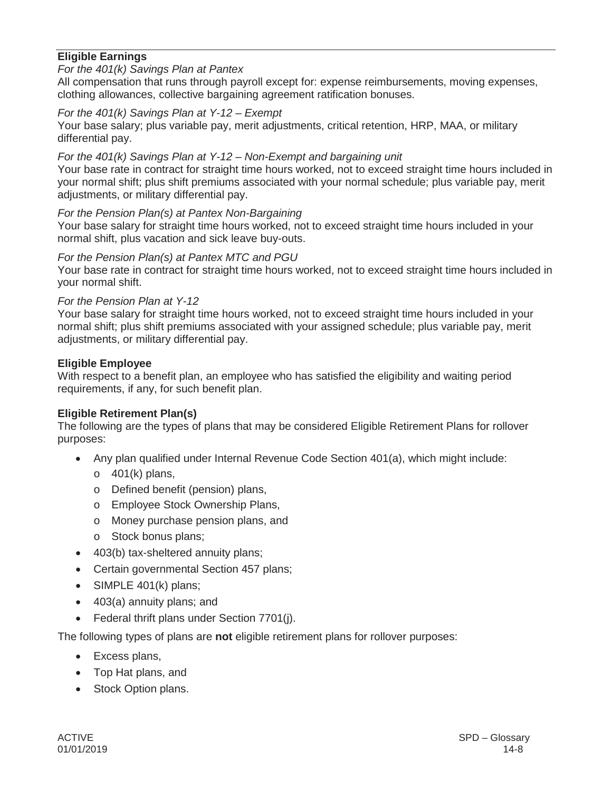## **Eligible Earnings**

## *For the 401(k) Savings Plan at Pantex*

All compensation that runs through payroll except for: expense reimbursements, moving expenses, clothing allowances, collective bargaining agreement ratification bonuses.

## *For the 401(k) Savings Plan at Y-12 – Exempt*

Your base salary; plus variable pay, merit adjustments, critical retention, HRP, MAA, or military differential pay.

#### *For the 401(k) Savings Plan at Y-12 – Non-Exempt and bargaining unit*

Your base rate in contract for straight time hours worked, not to exceed straight time hours included in your normal shift; plus shift premiums associated with your normal schedule; plus variable pay, merit adjustments, or military differential pay.

#### *For the Pension Plan(s) at Pantex Non-Bargaining*

Your base salary for straight time hours worked, not to exceed straight time hours included in your normal shift, plus vacation and sick leave buy-outs.

#### *For the Pension Plan(s) at Pantex MTC and PGU*

Your base rate in contract for straight time hours worked, not to exceed straight time hours included in your normal shift.

#### *For the Pension Plan at Y-12*

Your base salary for straight time hours worked, not to exceed straight time hours included in your normal shift; plus shift premiums associated with your assigned schedule; plus variable pay, merit adjustments, or military differential pay.

#### **Eligible Employee**

With respect to a benefit plan, an employee who has satisfied the eligibility and waiting period requirements, if any, for such benefit plan.

## **Eligible Retirement Plan(s)**

The following are the types of plans that may be considered Eligible Retirement Plans for rollover purposes:

- Any plan qualified under Internal Revenue Code Section 401(a), which might include:
	- $\circ$  401(k) plans,
	- o Defined benefit (pension) plans,
	- o Employee Stock Ownership Plans,
	- o Money purchase pension plans, and
	- o Stock bonus plans;
- $\bullet$  403(b) tax-sheltered annuity plans;
- Certain governmental Section 457 plans;
- $\bullet$  SIMPLE 401(k) plans;
- $\bullet$  403(a) annuity plans; and
- Federal thrift plans under Section 7701(j).

The following types of plans are **not** eligible retirement plans for rollover purposes:

- $\bullet$  Excess plans,
- Top Hat plans, and
- Stock Option plans.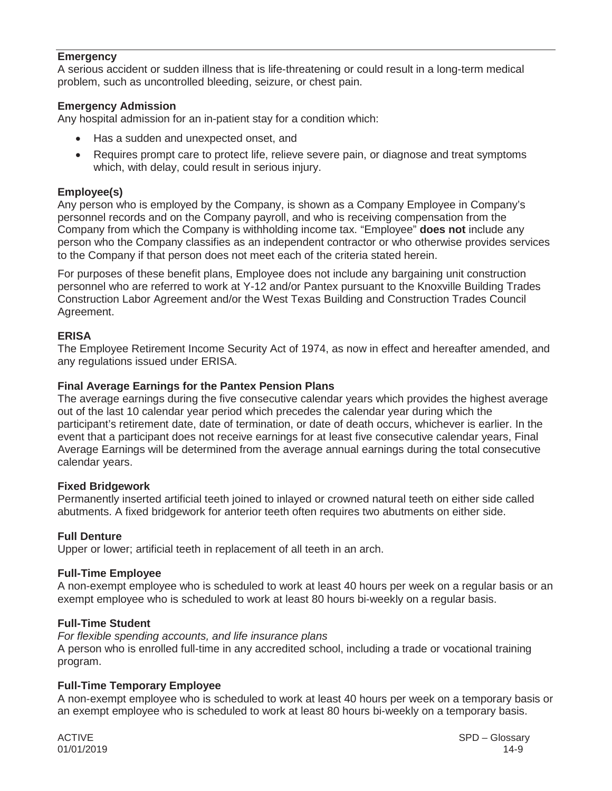## **Emergency**

A serious accident or sudden illness that is life-threatening or could result in a long-term medical problem, such as uncontrolled bleeding, seizure, or chest pain.

## **Emergency Admission**

Any hospital admission for an in-patient stay for a condition which:

- Has a sudden and unexpected onset, and
- Requires prompt care to protect life, relieve severe pain, or diagnose and treat symptoms which, with delay, could result in serious injury.

## **Employee(s)**

Any person who is employed by the Company, is shown as a Company Employee in Company's personnel records and on the Company payroll, and who is receiving compensation from the Company from which the Company is withholding income tax. "Employee" **does not** include any person who the Company classifies as an independent contractor or who otherwise provides services to the Company if that person does not meet each of the criteria stated herein.

For purposes of these benefit plans, Employee does not include any bargaining unit construction personnel who are referred to work at Y-12 and/or Pantex pursuant to the Knoxville Building Trades Construction Labor Agreement and/or the West Texas Building and Construction Trades Council Agreement.

## **ERISA**

The Employee Retirement Income Security Act of 1974, as now in effect and hereafter amended, and any regulations issued under ERISA.

#### **Final Average Earnings for the Pantex Pension Plans**

The average earnings during the five consecutive calendar years which provides the highest average out of the last 10 calendar year period which precedes the calendar year during which the participant's retirement date, date of termination, or date of death occurs, whichever is earlier. In the event that a participant does not receive earnings for at least five consecutive calendar years, Final Average Earnings will be determined from the average annual earnings during the total consecutive calendar years.

#### **Fixed Bridgework**

Permanently inserted artificial teeth joined to inlayed or crowned natural teeth on either side called abutments. A fixed bridgework for anterior teeth often requires two abutments on either side.

## **Full Denture**

Upper or lower; artificial teeth in replacement of all teeth in an arch.

#### **Full-Time Employee**

A non-exempt employee who is scheduled to work at least 40 hours per week on a regular basis or an exempt employee who is scheduled to work at least 80 hours bi-weekly on a regular basis.

#### **Full-Time Student**

*For flexible spending accounts, and life insurance plans*

A person who is enrolled full-time in any accredited school, including a trade or vocational training program.

## **Full-Time Temporary Employee**

A non-exempt employee who is scheduled to work at least 40 hours per week on a temporary basis or an exempt employee who is scheduled to work at least 80 hours bi-weekly on a temporary basis.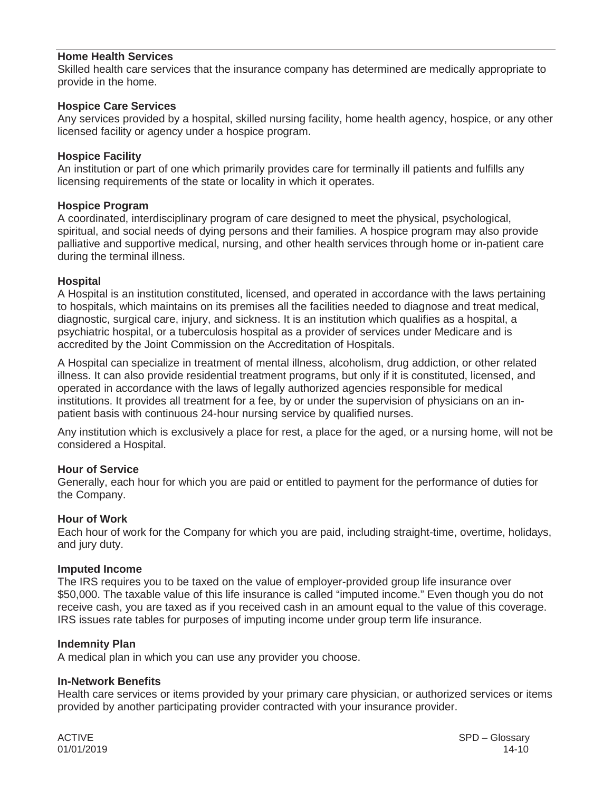## **Home Health Services**

Skilled health care services that the insurance company has determined are medically appropriate to provide in the home.

#### **Hospice Care Services**

Any services provided by a hospital, skilled nursing facility, home health agency, hospice, or any other licensed facility or agency under a hospice program.

#### **Hospice Facility**

An institution or part of one which primarily provides care for terminally ill patients and fulfills any licensing requirements of the state or locality in which it operates.

#### **Hospice Program**

A coordinated, interdisciplinary program of care designed to meet the physical, psychological, spiritual, and social needs of dying persons and their families. A hospice program may also provide palliative and supportive medical, nursing, and other health services through home or in-patient care during the terminal illness.

#### **Hospital**

A Hospital is an institution constituted, licensed, and operated in accordance with the laws pertaining to hospitals, which maintains on its premises all the facilities needed to diagnose and treat medical, diagnostic, surgical care, injury, and sickness. It is an institution which qualifies as a hospital, a psychiatric hospital, or a tuberculosis hospital as a provider of services under Medicare and is accredited by the Joint Commission on the Accreditation of Hospitals.

A Hospital can specialize in treatment of mental illness, alcoholism, drug addiction, or other related illness. It can also provide residential treatment programs, but only if it is constituted, licensed, and operated in accordance with the laws of legally authorized agencies responsible for medical institutions. It provides all treatment for a fee, by or under the supervision of physicians on an inpatient basis with continuous 24-hour nursing service by qualified nurses.

Any institution which is exclusively a place for rest, a place for the aged, or a nursing home, will not be considered a Hospital.

## **Hour of Service**

Generally, each hour for which you are paid or entitled to payment for the performance of duties for the Company.

#### **Hour of Work**

Each hour of work for the Company for which you are paid, including straight-time, overtime, holidays, and jury duty.

#### **Imputed Income**

The IRS requires you to be taxed on the value of employer-provided group life insurance over \$50,000. The taxable value of this life insurance is called "imputed income." Even though you do not receive cash, you are taxed as if you received cash in an amount equal to the value of this coverage. IRS issues rate tables for purposes of imputing income under group term life insurance.

#### **Indemnity Plan**

A medical plan in which you can use any provider you choose.

#### **In-Network Benefits**

Health care services or items provided by your primary care physician, or authorized services or items provided by another participating provider contracted with your insurance provider.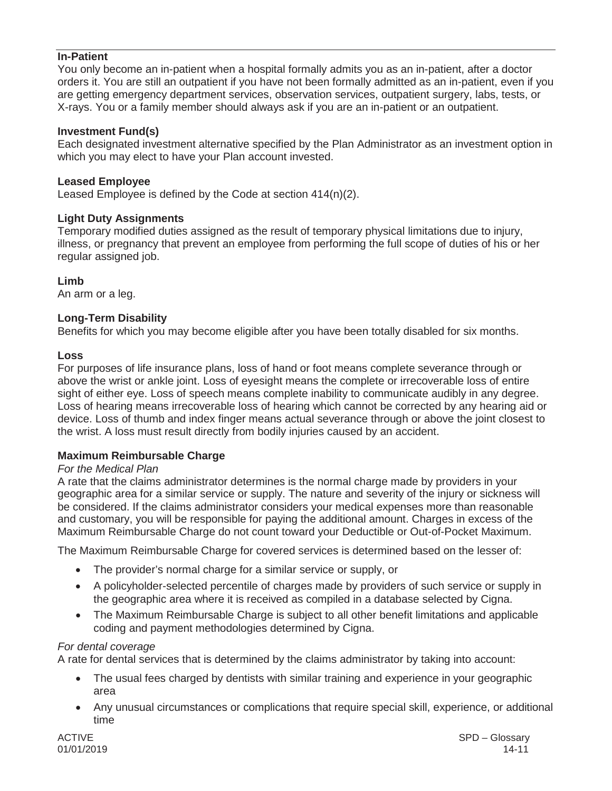## **In-Patient**

You only become an in-patient when a hospital formally admits you as an in-patient, after a doctor orders it. You are still an outpatient if you have not been formally admitted as an in-patient, even if you are getting emergency department services, observation services, outpatient surgery, labs, tests, or X-rays. You or a family member should always ask if you are an in-patient or an outpatient.

## **Investment Fund(s)**

Each designated investment alternative specified by the Plan Administrator as an investment option in which you may elect to have your Plan account invested.

## **Leased Employee**

Leased Employee is defined by the Code at section 414(n)(2).

## **Light Duty Assignments**

Temporary modified duties assigned as the result of temporary physical limitations due to injury, illness, or pregnancy that prevent an employee from performing the full scope of duties of his or her regular assigned job.

## **Limb**

An arm or a leg.

## **Long-Term Disability**

Benefits for which you may become eligible after you have been totally disabled for six months.

## **Loss**

For purposes of life insurance plans, loss of hand or foot means complete severance through or above the wrist or ankle joint. Loss of eyesight means the complete or irrecoverable loss of entire sight of either eye. Loss of speech means complete inability to communicate audibly in any degree. Loss of hearing means irrecoverable loss of hearing which cannot be corrected by any hearing aid or device. Loss of thumb and index finger means actual severance through or above the joint closest to the wrist. A loss must result directly from bodily injuries caused by an accident.

## **Maximum Reimbursable Charge**

## *For the Medical Plan*

A rate that the claims administrator determines is the normal charge made by providers in your geographic area for a similar service or supply. The nature and severity of the injury or sickness will be considered. If the claims administrator considers your medical expenses more than reasonable and customary, you will be responsible for paying the additional amount. Charges in excess of the Maximum Reimbursable Charge do not count toward your Deductible or Out-of-Pocket Maximum.

The Maximum Reimbursable Charge for covered services is determined based on the lesser of:

- The provider's normal charge for a similar service or supply, or
- A policyholder-selected percentile of charges made by providers of such service or supply in the geographic area where it is received as compiled in a database selected by Cigna.
- The Maximum Reimbursable Charge is subject to all other benefit limitations and applicable coding and payment methodologies determined by Cigna.

## *For dental coverage*

A rate for dental services that is determined by the claims administrator by taking into account:

- The usual fees charged by dentists with similar training and experience in your geographic area
- Any unusual circumstances or complications that require special skill, experience, or additional time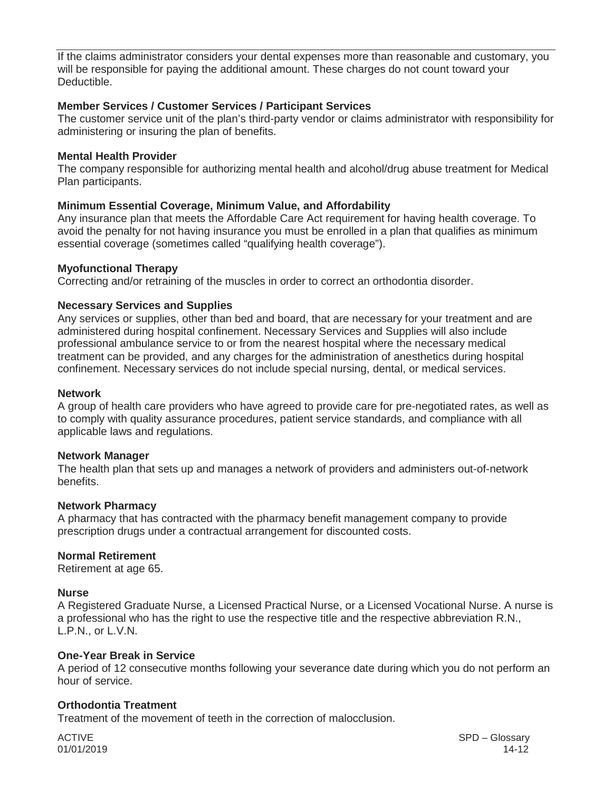If the claims administrator considers your dental expenses more than reasonable and customary, you will be responsible for paying the additional amount. These charges do not count toward your Deductible.

## **Member Services / Customer Services / Participant Services**

The customer service unit of the plan's third-party vendor or claims administrator with responsibility for administering or insuring the plan of benefits.

## **Mental Health Provider**

The company responsible for authorizing mental health and alcohol/drug abuse treatment for Medical Plan participants.

## **Minimum Essential Coverage, Minimum Value, and Affordability**

Any insurance plan that meets the Affordable Care Act requirement for having health coverage. To avoid the penalty for not having insurance you must be enrolled in a plan that qualifies as minimum essential coverage (sometimes called "qualifying health coverage").

## **Myofunctional Therapy**

Correcting and/or retraining of the muscles in order to correct an orthodontia disorder.

## **Necessary Services and Supplies**

Any services or supplies, other than bed and board, that are necessary for your treatment and are administered during hospital confinement. Necessary Services and Supplies will also include professional ambulance service to or from the nearest hospital where the necessary medical treatment can be provided, and any charges for the administration of anesthetics during hospital confinement. Necessary services do not include special nursing, dental, or medical services.

## **Network**

A group of health care providers who have agreed to provide care for pre-negotiated rates, as well as to comply with quality assurance procedures, patient service standards, and compliance with all applicable laws and regulations.

## **Network Manager**

The health plan that sets up and manages a network of providers and administers out-of-network benefits.

## **Network Pharmacy**

A pharmacy that has contracted with the pharmacy benefit management company to provide prescription drugs under a contractual arrangement for discounted costs.

## **Normal Retirement**

Retirement at age 65.

## **Nurse**

A Registered Graduate Nurse, a Licensed Practical Nurse, or a Licensed Vocational Nurse. A nurse is a professional who has the right to use the respective title and the respective abbreviation R.N., L.P.N., or L.V.N.

## **One-Year Break in Service**

A period of 12 consecutive months following your severance date during which you do not perform an hour of service.

## **Orthodontia Treatment**

Treatment of the movement of teeth in the correction of malocclusion.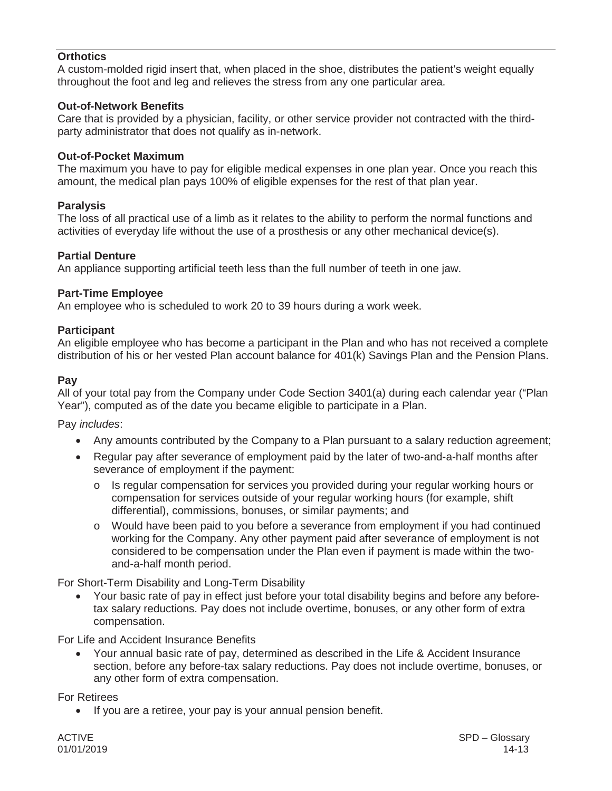## **Orthotics**

A custom-molded rigid insert that, when placed in the shoe, distributes the patient's weight equally throughout the foot and leg and relieves the stress from any one particular area.

## **Out-of-Network Benefits**

Care that is provided by a physician, facility, or other service provider not contracted with the thirdparty administrator that does not qualify as in-network.

## **Out-of-Pocket Maximum**

The maximum you have to pay for eligible medical expenses in one plan year. Once you reach this amount, the medical plan pays 100% of eligible expenses for the rest of that plan year.

## **Paralysis**

The loss of all practical use of a limb as it relates to the ability to perform the normal functions and activities of everyday life without the use of a prosthesis or any other mechanical device(s).

## **Partial Denture**

An appliance supporting artificial teeth less than the full number of teeth in one jaw.

## **Part-Time Employee**

An employee who is scheduled to work 20 to 39 hours during a work week.

## **Participant**

An eligible employee who has become a participant in the Plan and who has not received a complete distribution of his or her vested Plan account balance for 401(k) Savings Plan and the Pension Plans.

## **Pay**

All of your total pay from the Company under Code Section 3401(a) during each calendar year ("Plan Year"), computed as of the date you became eligible to participate in a Plan.

Pay *includes*:

- Any amounts contributed by the Company to a Plan pursuant to a salary reduction agreement;
- Regular pay after severance of employment paid by the later of two-and-a-half months after severance of employment if the payment:
	- $\circ$  Is regular compensation for services you provided during your regular working hours or compensation for services outside of your regular working hours (for example, shift differential), commissions, bonuses, or similar payments; and
	- o Would have been paid to you before a severance from employment if you had continued working for the Company. Any other payment paid after severance of employment is not considered to be compensation under the Plan even if payment is made within the twoand-a-half month period.

For Short-Term Disability and Long-Term Disability

• Your basic rate of pay in effect just before your total disability begins and before any beforetax salary reductions. Pay does not include overtime, bonuses, or any other form of extra compensation.

For Life and Accident Insurance Benefits

• Your annual basic rate of pay, determined as described in the Life & Accident Insurance section, before any before-tax salary reductions. Pay does not include overtime, bonuses, or any other form of extra compensation.

For Retirees

• If you are a retiree, your pay is your annual pension benefit.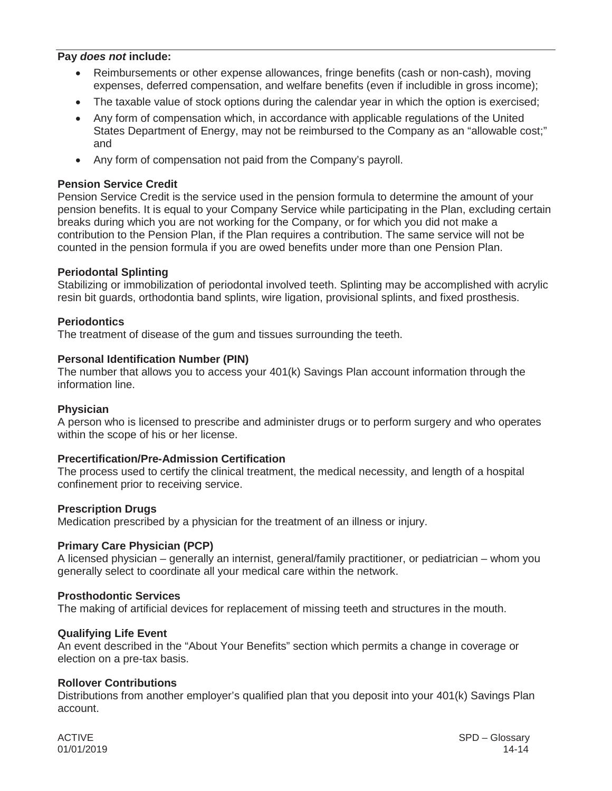## **Pay** *does not* **include:**

- Reimbursements or other expense allowances, fringe benefits (cash or non-cash), moving expenses, deferred compensation, and welfare benefits (even if includible in gross income);
- The taxable value of stock options during the calendar year in which the option is exercised;
- Any form of compensation which, in accordance with applicable regulations of the United States Department of Energy, may not be reimbursed to the Company as an "allowable cost;" and
- Any form of compensation not paid from the Company's payroll.

## **Pension Service Credit**

Pension Service Credit is the service used in the pension formula to determine the amount of your pension benefits. It is equal to your Company Service while participating in the Plan, excluding certain breaks during which you are not working for the Company, or for which you did not make a contribution to the Pension Plan, if the Plan requires a contribution. The same service will not be counted in the pension formula if you are owed benefits under more than one Pension Plan.

## **Periodontal Splinting**

Stabilizing or immobilization of periodontal involved teeth. Splinting may be accomplished with acrylic resin bit guards, orthodontia band splints, wire ligation, provisional splints, and fixed prosthesis.

## **Periodontics**

The treatment of disease of the gum and tissues surrounding the teeth.

## **Personal Identification Number (PIN)**

The number that allows you to access your 401(k) Savings Plan account information through the information line.

## **Physician**

A person who is licensed to prescribe and administer drugs or to perform surgery and who operates within the scope of his or her license.

## **Precertification/Pre-Admission Certification**

The process used to certify the clinical treatment, the medical necessity, and length of a hospital confinement prior to receiving service.

## **Prescription Drugs**

Medication prescribed by a physician for the treatment of an illness or injury.

## **Primary Care Physician (PCP)**

A licensed physician – generally an internist, general/family practitioner, or pediatrician – whom you generally select to coordinate all your medical care within the network.

## **Prosthodontic Services**

The making of artificial devices for replacement of missing teeth and structures in the mouth.

## **Qualifying Life Event**

An event described in the "About Your Benefits" section which permits a change in coverage or election on a pre-tax basis.

## **Rollover Contributions**

Distributions from another employer's qualified plan that you deposit into your 401(k) Savings Plan account.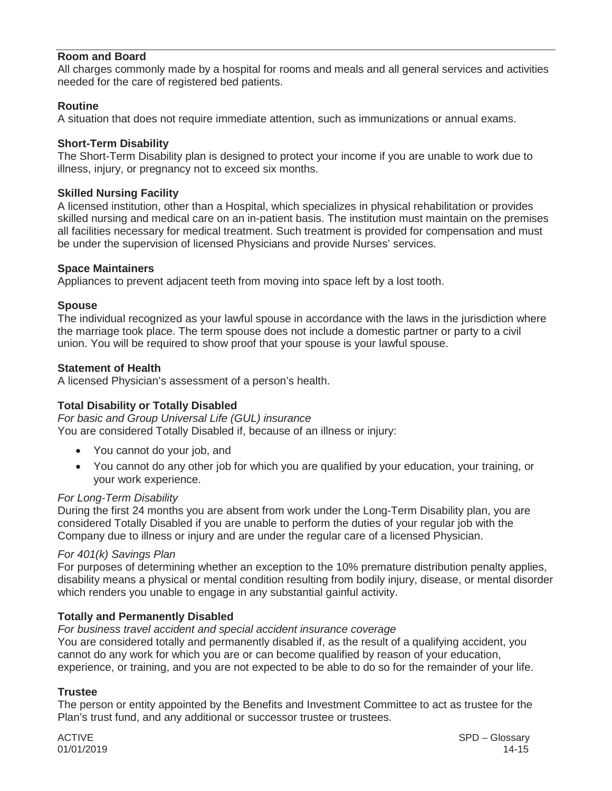## **Room and Board**

All charges commonly made by a hospital for rooms and meals and all general services and activities needed for the care of registered bed patients.

## **Routine**

A situation that does not require immediate attention, such as immunizations or annual exams.

## **Short-Term Disability**

The Short-Term Disability plan is designed to protect your income if you are unable to work due to illness, injury, or pregnancy not to exceed six months.

## **Skilled Nursing Facility**

A licensed institution, other than a Hospital, which specializes in physical rehabilitation or provides skilled nursing and medical care on an in-patient basis. The institution must maintain on the premises all facilities necessary for medical treatment. Such treatment is provided for compensation and must be under the supervision of licensed Physicians and provide Nurses' services.

#### **Space Maintainers**

Appliances to prevent adjacent teeth from moving into space left by a lost tooth.

#### **Spouse**

The individual recognized as your lawful spouse in accordance with the laws in the jurisdiction where the marriage took place. The term spouse does not include a domestic partner or party to a civil union. You will be required to show proof that your spouse is your lawful spouse.

## **Statement of Health**

A licensed Physician's assessment of a person's health.

## **Total Disability or Totally Disabled**

*For basic and Group Universal Life (GUL) insurance*  You are considered Totally Disabled if, because of an illness or injury:

- You cannot do your job, and
- You cannot do any other job for which you are qualified by your education, your training, or your work experience.

## *For Long-Term Disability*

During the first 24 months you are absent from work under the Long-Term Disability plan, you are considered Totally Disabled if you are unable to perform the duties of your regular job with the Company due to illness or injury and are under the regular care of a licensed Physician.

#### *For 401(k) Savings Plan*

For purposes of determining whether an exception to the 10% premature distribution penalty applies, disability means a physical or mental condition resulting from bodily injury, disease, or mental disorder which renders you unable to engage in any substantial gainful activity.

## **Totally and Permanently Disabled**

*For business travel accident and special accident insurance coverage*

You are considered totally and permanently disabled if, as the result of a qualifying accident, you cannot do any work for which you are or can become qualified by reason of your education, experience, or training, and you are not expected to be able to do so for the remainder of your life.

## **Trustee**

The person or entity appointed by the Benefits and Investment Committee to act as trustee for the Plan's trust fund, and any additional or successor trustee or trustees.